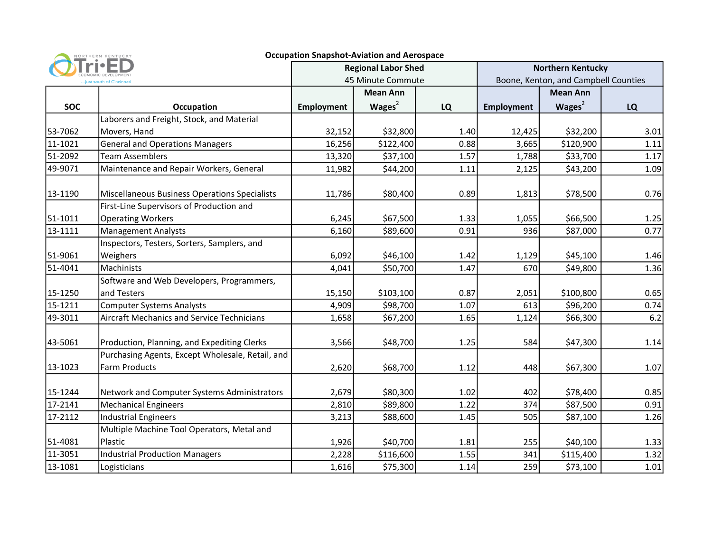| <b>Occupation Snapshot-Aviation and Aerospace</b><br>NORTHERN KENTUCKY |                                                                      |                            |                 |           |                                      |                       |              |  |  |  |
|------------------------------------------------------------------------|----------------------------------------------------------------------|----------------------------|-----------------|-----------|--------------------------------------|-----------------------|--------------|--|--|--|
|                                                                        |                                                                      | <b>Regional Labor Shed</b> |                 |           | <b>Northern Kentucky</b>             |                       |              |  |  |  |
| .just south of Cincinnat                                               |                                                                      | 45 Minute Commute          |                 |           | Boone, Kenton, and Campbell Counties |                       |              |  |  |  |
|                                                                        |                                                                      |                            | <b>Mean Ann</b> |           |                                      | <b>Mean Ann</b>       |              |  |  |  |
| <b>SOC</b>                                                             | <b>Occupation</b>                                                    | <b>Employment</b>          | Wages $2$       | <b>LQ</b> | <b>Employment</b>                    | Wages $2$             | LQ           |  |  |  |
|                                                                        | Laborers and Freight, Stock, and Material                            |                            |                 |           |                                      |                       |              |  |  |  |
| 53-7062                                                                | Movers, Hand                                                         | 32,152                     | \$32,800        | 1.40      | 12,425                               | \$32,200              | 3.01         |  |  |  |
| 11-1021                                                                | <b>General and Operations Managers</b>                               | 16,256                     | \$122,400       | 0.88      | 3,665                                | \$120,900             | 1.11         |  |  |  |
| 51-2092                                                                | <b>Team Assemblers</b>                                               | 13,320                     | \$37,100        | 1.57      | 1,788                                | \$33,700              | 1.17         |  |  |  |
| 49-9071                                                                | Maintenance and Repair Workers, General                              | 11,982                     | \$44,200        | 1.11      | 2,125                                | \$43,200              | 1.09         |  |  |  |
| 13-1190                                                                | Miscellaneous Business Operations Specialists                        | 11,786                     | \$80,400        | 0.89      | 1,813                                | \$78,500              | 0.76         |  |  |  |
| 51-1011                                                                | First-Line Supervisors of Production and<br><b>Operating Workers</b> | 6,245                      | \$67,500        | 1.33      | 1,055                                | \$66,500              | 1.25         |  |  |  |
| 13-1111                                                                | <b>Management Analysts</b>                                           | 6,160                      | \$89,600        | 0.91      | 936                                  | \$87,000              | 0.77         |  |  |  |
|                                                                        | Inspectors, Testers, Sorters, Samplers, and                          |                            |                 |           |                                      |                       |              |  |  |  |
| 51-9061                                                                | Weighers                                                             | 6,092                      | \$46,100        | 1.42      | 1,129                                | \$45,100              | 1.46         |  |  |  |
| 51-4041                                                                | Machinists                                                           | 4,041                      | \$50,700        | 1.47      | 670                                  | \$49,800              | 1.36         |  |  |  |
|                                                                        | Software and Web Developers, Programmers,                            |                            |                 |           |                                      |                       |              |  |  |  |
| 15-1250                                                                | and Testers                                                          | 15,150                     | \$103,100       | 0.87      | 2,051                                | \$100,800             | 0.65         |  |  |  |
| 15-1211                                                                | <b>Computer Systems Analysts</b>                                     | 4,909                      | \$98,700        | 1.07      | 613                                  | \$96,200              | 0.74         |  |  |  |
| 49-3011                                                                | <b>Aircraft Mechanics and Service Technicians</b>                    | 1,658                      | \$67,200        | 1.65      | 1,124                                | \$66,300              | 6.2          |  |  |  |
| 43-5061                                                                | Production, Planning, and Expediting Clerks                          | 3,566                      | \$48,700        | 1.25      | 584                                  | \$47,300              | 1.14         |  |  |  |
| 13-1023                                                                | Purchasing Agents, Except Wholesale, Retail, and<br>Farm Products    | 2,620                      | \$68,700        | 1.12      | 448                                  | \$67,300              | 1.07         |  |  |  |
| 15-1244                                                                | Network and Computer Systems Administrators                          | 2,679                      | \$80,300        | 1.02      | 402                                  | \$78,400              | 0.85         |  |  |  |
| 17-2141                                                                | <b>Mechanical Engineers</b>                                          | 2,810                      | \$89,800        | 1.22      | 374                                  | \$87,500              | 0.91         |  |  |  |
| 17-2112                                                                | <b>Industrial Engineers</b>                                          | 3,213                      | \$88,600        | 1.45      | 505                                  | \$87,100              | 1.26         |  |  |  |
| 51-4081                                                                | Multiple Machine Tool Operators, Metal and<br>Plastic                |                            | \$40,700        | 1.81      | 255                                  |                       |              |  |  |  |
| 11-3051                                                                | <b>Industrial Production Managers</b>                                | 1,926<br>2,228             | \$116,600       | 1.55      | 341                                  | \$40,100<br>\$115,400 | 1.33<br>1.32 |  |  |  |
| 13-1081                                                                | Logisticians                                                         | 1,616                      | \$75,300        | 1.14      | 259                                  | \$73,100              | 1.01         |  |  |  |
|                                                                        |                                                                      |                            |                 |           |                                      |                       |              |  |  |  |